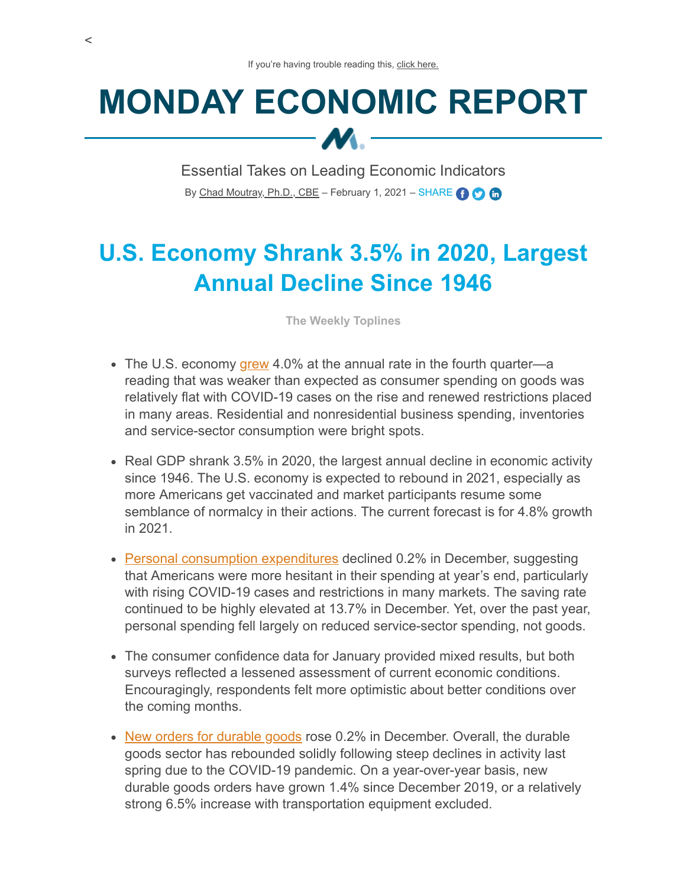# **MONDAY ECONOMIC REPORT**  $M -$

Essential Takes on Leading Economic Indicators By [Chad Moutray, Ph.D., CBE](mailto:cmoutray@nam.org) – February 1, 2021 – SHARE **O Co** 

# **U.S. Economy Shrank 3.5% in 2020, Largest Annual Decline Since 1946**

**The Weekly Toplines**

- The U.S. economy  $\frac{qrew}{q}$  4.0% at the annual rate in the fourth quarter—a reading that was weaker than expected as consumer spending on goods was relatively flat with COVID-19 cases on the rise and renewed restrictions placed in many areas. Residential and nonresidential business spending, inventories and service-sector consumption were bright spots.
- Real GDP shrank 3.5% in 2020, the largest annual decline in economic activity since 1946. The U.S. economy is expected to rebound in 2021, especially as more Americans get vaccinated and market participants resume some semblance of normalcy in their actions. The current forecast is for 4.8% growth in 2021.
- [Personal consumption expenditures](https://www.bea.gov/sites/default/files/2021-01/pi1220.pdf) declined 0.2% in December, suggesting that Americans were more hesitant in their spending at year's end, particularly with rising COVID-19 cases and restrictions in many markets. The saving rate continued to be highly elevated at 13.7% in December. Yet, over the past year, personal spending fell largely on reduced service-sector spending, not goods.
- The consumer confidence data for January provided mixed results, but both surveys reflected a lessened assessment of current economic conditions. Encouragingly, respondents felt more optimistic about better conditions over the coming months.
- [New orders for durable goods](https://www.census.gov/manufacturing/m3/adv/pdf/durgd.pdf) rose 0.2% in December. Overall, the durable goods sector has rebounded solidly following steep declines in activity last spring due to the COVID-19 pandemic. On a year-over-year basis, new durable goods orders have grown 1.4% since December 2019, or a relatively strong 6.5% increase with transportation equipment excluded.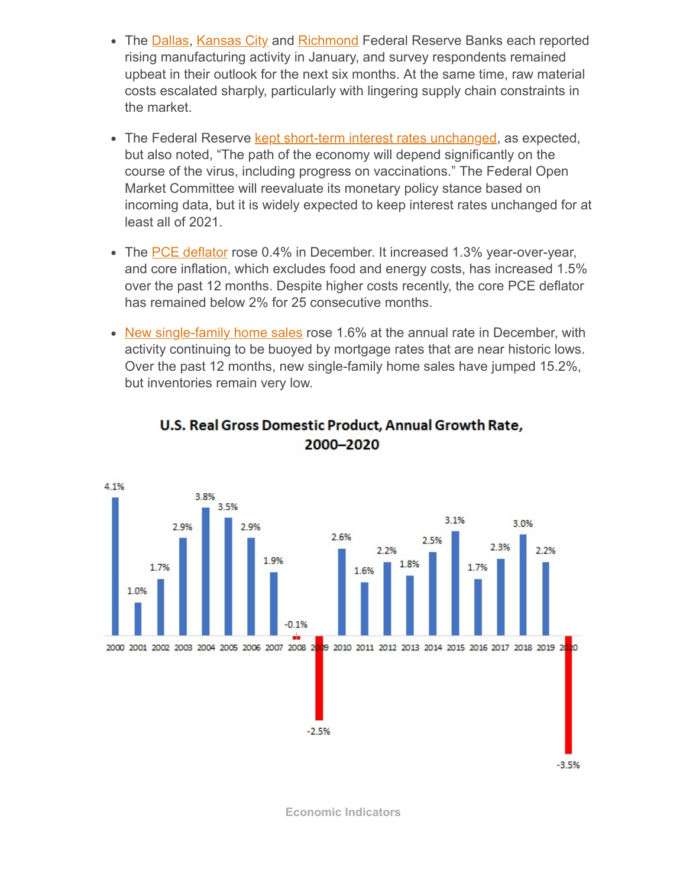- The [Dallas](https://www.dallasfed.org/research/surveys/tmos/2021/2101.aspx), [Kansas City](https://www.kansascityfed.org/~/media/files/publicat/research/indicatorsdata/mfg/2021/kcfed_manufsurvey_2021jan28.pdf) and [Richmond](https://www.richmondfed.org/-/media/richmondfedorg/research/regional_economy/surveys_of_business_conditions/manufacturing/2021/pdf/mfg_01_26_21.pdf) Federal Reserve Banks each reported rising manufacturing activity in January, and survey respondents remained upbeat in their outlook for the next six months. At the same time, raw material costs escalated sharply, particularly with lingering supply chain constraints in the market.
- The Federal Reserve [kept short-term interest rates unchanged,](https://www.federalreserve.gov/newsevents/pressreleases/monetary20210127a.htm) as expected, but also noted, "The path of the economy will depend significantly on the course of the virus, including progress on vaccinations." The Federal Open Market Committee will reevaluate its monetary policy stance based on incoming data, but it is widely expected to keep interest rates unchanged for at least all of 2021.
- The [PCE deflator](https://www.bea.gov/sites/default/files/2021-01/pi1220.pdf) rose 0.4% in December. It increased 1.3% year-over-year, and core inflation, which excludes food and energy costs, has increased 1.5% over the past 12 months. Despite higher costs recently, the core PCE deflator has remained below 2% for 25 consecutive months.
- [New single-family home sales](https://www.census.gov/construction/nrs/pdf/newressales.pdf) rose 1.6% at the annual rate in December, with activity continuing to be buoyed by mortgage rates that are near historic lows. Over the past 12 months, new single-family home sales have jumped 15.2%, but inventories remain very low.



### U.S. Real Gross Domestic Product, Annual Growth Rate, 2000-2020

**Economic Indicators**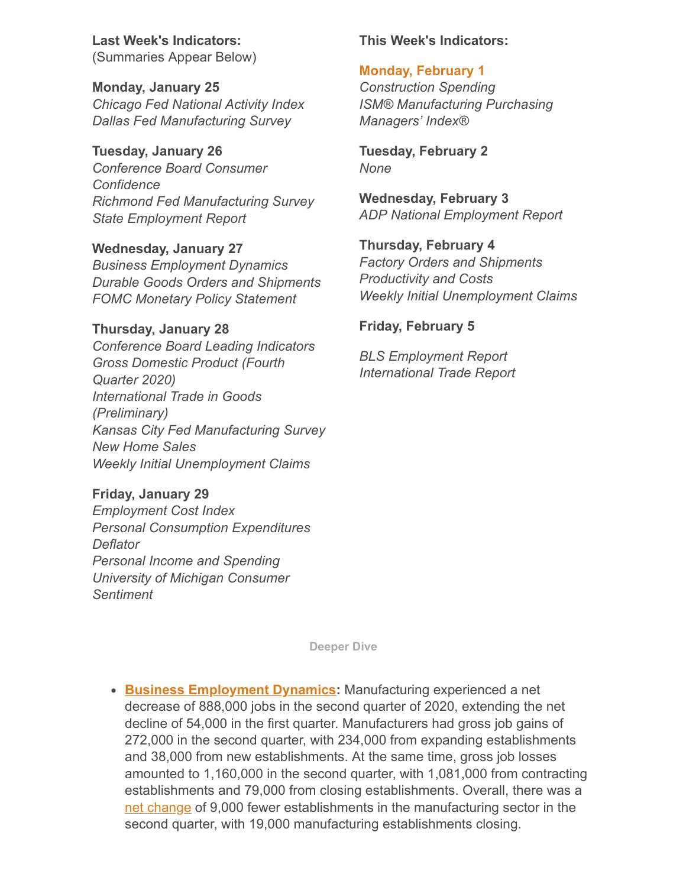**Last Week's Indicators:** (Summaries Appear Below)

**Monday, January 25** *Chicago Fed National Activity Index Dallas Fed Manufacturing Survey*

**Tuesday, January 26** *Conference Board Consumer Confidence Richmond Fed Manufacturing Survey State Employment Report*

**Wednesday, January 27** *Business Employment Dynamics Durable Goods Orders and Shipments FOMC Monetary Policy Statement*

#### **Thursday, January 28** *Conference Board Leading Indicators Gross Domestic Product (Fourth Quarter 2020) International Trade in Goods (Preliminary) Kansas City Fed Manufacturing Survey New Home Sales*

**Friday, January 29** *Employment Cost Index Personal Consumption Expenditures Deflator Personal Income and Spending University of Michigan Consumer*

*Sentiment*

*Weekly Initial Unemployment Claims*

#### **This Week's Indicators:**

#### **Monday, February 1**

*Construction Spending ISM® Manufacturing Purchasing Managers' Index®*

**Tuesday, February 2** *None*

**Wednesday, February 3** *ADP National Employment Report*

**Thursday, February 4** *Factory Orders and Shipments Productivity and Costs Weekly Initial Unemployment Claims*

## **Friday, February 5**

*BLS Employment Report International Trade Report*

**Deeper Dive**

**[Business Employment Dynamics:](https://www.bls.gov/news.release/pdf/cewbd.pdf)** Manufacturing experienced a net decrease of 888,000 jobs in the second quarter of 2020, extending the net decline of 54,000 in the first quarter. Manufacturers had gross job gains of 272,000 in the second quarter, with 234,000 from expanding establishments and 38,000 from new establishments. At the same time, gross job losses amounted to 1,160,000 in the second quarter, with 1,081,000 from contracting establishments and 79,000 from closing establishments. Overall, there was a [net change](https://www.bls.gov/web/cewbd/table5_5.txt) of 9,000 fewer establishments in the manufacturing sector in the second quarter, with 19,000 manufacturing establishments closing.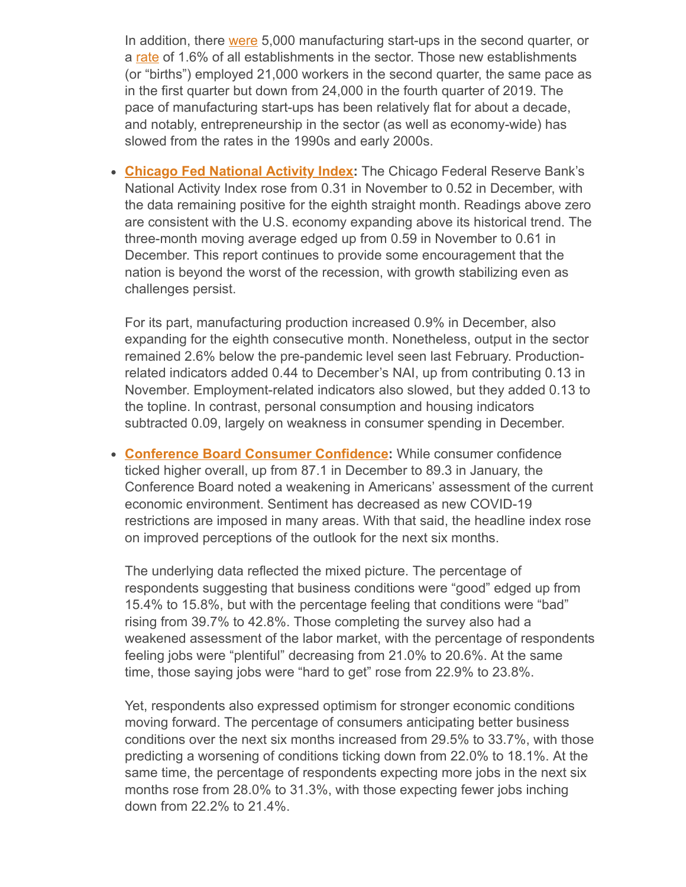In addition, there <u>were</u> 5,000 manufacturing start-ups in the second quarter, or a [rate](https://www.bls.gov/web/cewbd/table10_5.txt) of 1.6% of all establishments in the sector. Those new establishments (or "births") employed 21,000 workers in the second quarter, the same pace as in the first quarter but down from 24,000 in the fourth quarter of 2019. The pace of manufacturing start-ups has been relatively flat for about a decade, and notably, entrepreneurship in the sector (as well as economy-wide) has slowed from the rates in the 1990s and early 2000s.

**[Chicago Fed National Activity Index:](https://www.chicagofed.org/publications/cfnai/index)** The Chicago Federal Reserve Bank's National Activity Index rose from 0.31 in November to 0.52 in December, with the data remaining positive for the eighth straight month. Readings above zero are consistent with the U.S. economy expanding above its historical trend. The three-month moving average edged up from 0.59 in November to 0.61 in December. This report continues to provide some encouragement that the nation is beyond the worst of the recession, with growth stabilizing even as challenges persist.

For its part, manufacturing production increased 0.9% in December, also expanding for the eighth consecutive month. Nonetheless, output in the sector remained 2.6% below the pre-pandemic level seen last February. Productionrelated indicators added 0.44 to December's NAI, up from contributing 0.13 in November. Employment-related indicators also slowed, but they added 0.13 to the topline. In contrast, personal consumption and housing indicators subtracted 0.09, largely on weakness in consumer spending in December.

**[Conference Board Consumer Confidence:](https://www.conference-board.org/data/consumerconfidence.cfm)** While consumer confidence ticked higher overall, up from 87.1 in December to 89.3 in January, the Conference Board noted a weakening in Americans' assessment of the current economic environment. Sentiment has decreased as new COVID-19 restrictions are imposed in many areas. With that said, the headline index rose on improved perceptions of the outlook for the next six months.

The underlying data reflected the mixed picture. The percentage of respondents suggesting that business conditions were "good" edged up from 15.4% to 15.8%, but with the percentage feeling that conditions were "bad" rising from 39.7% to 42.8%. Those completing the survey also had a weakened assessment of the labor market, with the percentage of respondents feeling jobs were "plentiful" decreasing from 21.0% to 20.6%. At the same time, those saying jobs were "hard to get" rose from 22.9% to 23.8%.

Yet, respondents also expressed optimism for stronger economic conditions moving forward. The percentage of consumers anticipating better business conditions over the next six months increased from 29.5% to 33.7%, with those predicting a worsening of conditions ticking down from 22.0% to 18.1%. At the same time, the percentage of respondents expecting more jobs in the next six months rose from 28.0% to 31.3%, with those expecting fewer jobs inching down from 22.2% to 21.4%.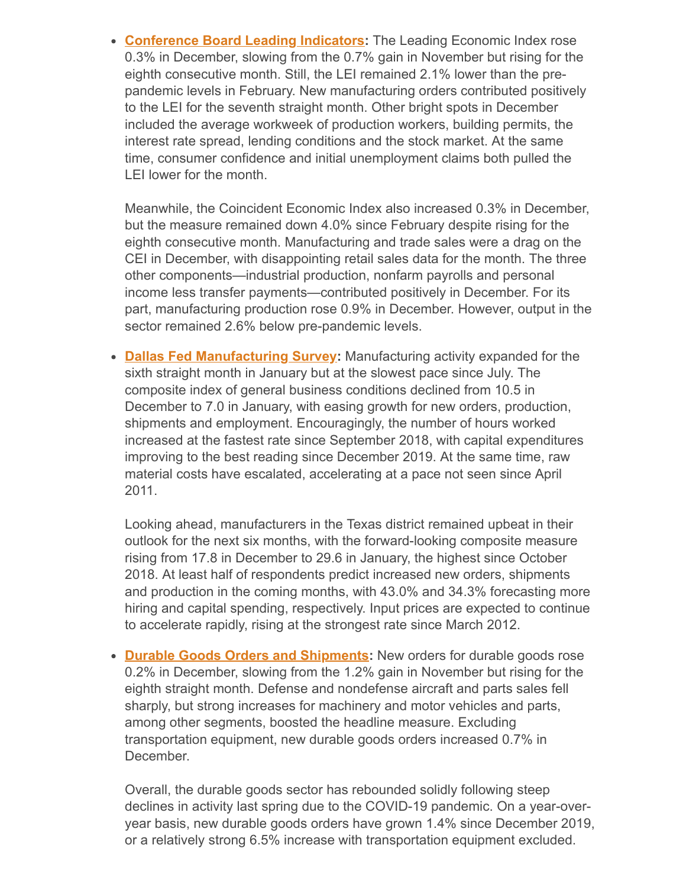**[Conference Board Leading Indicators](https://www.conference-board.org/pdf_free/press/US%20LEI%20-%20Tech%20Notes%20JANUARY%202021.pdf):** The Leading Economic Index rose 0.3% in December, slowing from the 0.7% gain in November but rising for the eighth consecutive month. Still, the LEI remained 2.1% lower than the prepandemic levels in February. New manufacturing orders contributed positively to the LEI for the seventh straight month. Other bright spots in December included the average workweek of production workers, building permits, the interest rate spread, lending conditions and the stock market. At the same time, consumer confidence and initial unemployment claims both pulled the LEI lower for the month.

Meanwhile, the Coincident Economic Index also increased 0.3% in December, but the measure remained down 4.0% since February despite rising for the eighth consecutive month. Manufacturing and trade sales were a drag on the CEI in December, with disappointing retail sales data for the month. The three other components—industrial production, nonfarm payrolls and personal income less transfer payments—contributed positively in December. For its part, manufacturing production rose 0.9% in December. However, output in the sector remained 2.6% below pre-pandemic levels.

**[Dallas Fed Manufacturing Survey:](https://www.dallasfed.org/research/surveys/tmos/2021/2101.aspx)** Manufacturing activity expanded for the sixth straight month in January but at the slowest pace since July. The composite index of general business conditions declined from 10.5 in December to 7.0 in January, with easing growth for new orders, production, shipments and employment. Encouragingly, the number of hours worked increased at the fastest rate since September 2018, with capital expenditures improving to the best reading since December 2019. At the same time, raw material costs have escalated, accelerating at a pace not seen since April 2011.

Looking ahead, manufacturers in the Texas district remained upbeat in their outlook for the next six months, with the forward-looking composite measure rising from 17.8 in December to 29.6 in January, the highest since October 2018. At least half of respondents predict increased new orders, shipments and production in the coming months, with 43.0% and 34.3% forecasting more hiring and capital spending, respectively. Input prices are expected to continue to accelerate rapidly, rising at the strongest rate since March 2012.

**• [Durable Goods Orders and Shipments:](https://www.census.gov/manufacturing/m3/adv/pdf/durgd.pdf)** New orders for durable goods rose 0.2% in December, slowing from the 1.2% gain in November but rising for the eighth straight month. Defense and nondefense aircraft and parts sales fell sharply, but strong increases for machinery and motor vehicles and parts, among other segments, boosted the headline measure. Excluding transportation equipment, new durable goods orders increased 0.7% in December.

Overall, the durable goods sector has rebounded solidly following steep declines in activity last spring due to the COVID-19 pandemic. On a year-overyear basis, new durable goods orders have grown 1.4% since December 2019, or a relatively strong 6.5% increase with transportation equipment excluded.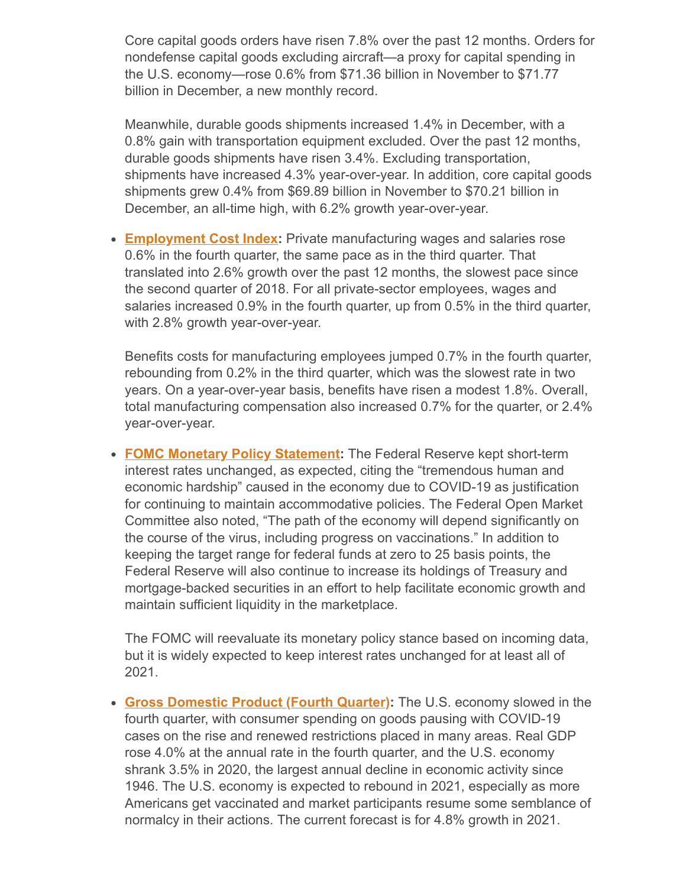Core capital goods orders have risen 7.8% over the past 12 months. Orders for nondefense capital goods excluding aircraft—a proxy for capital spending in the U.S. economy—rose 0.6% from \$71.36 billion in November to \$71.77 billion in December, a new monthly record.

Meanwhile, durable goods shipments increased 1.4% in December, with a 0.8% gain with transportation equipment excluded. Over the past 12 months, durable goods shipments have risen 3.4%. Excluding transportation, shipments have increased 4.3% year-over-year. In addition, core capital goods shipments grew 0.4% from \$69.89 billion in November to \$70.21 billion in December, an all-time high, with 6.2% growth year-over-year.

**[Employment Cost Index](https://www.bls.gov/news.release/pdf/eci.pdf):** Private manufacturing wages and salaries rose 0.6% in the fourth quarter, the same pace as in the third quarter. That translated into 2.6% growth over the past 12 months, the slowest pace since the second quarter of 2018. For all private-sector employees, wages and salaries increased 0.9% in the fourth quarter, up from 0.5% in the third quarter, with 2.8% growth year-over-year.

Benefits costs for manufacturing employees jumped 0.7% in the fourth quarter, rebounding from 0.2% in the third quarter, which was the slowest rate in two years. On a year-over-year basis, benefits have risen a modest 1.8%. Overall, total manufacturing compensation also increased 0.7% for the quarter, or 2.4% year-over-year.

**[FOMC Monetary Policy Statement:](https://www.federalreserve.gov/newsevents/pressreleases/monetary20210127a.htm)** The Federal Reserve kept short-term interest rates unchanged, as expected, citing the "tremendous human and economic hardship" caused in the economy due to COVID-19 as justification for continuing to maintain accommodative policies. The Federal Open Market Committee also noted, "The path of the economy will depend significantly on the course of the virus, including progress on vaccinations." In addition to keeping the target range for federal funds at zero to 25 basis points, the Federal Reserve will also continue to increase its holdings of Treasury and mortgage-backed securities in an effort to help facilitate economic growth and maintain sufficient liquidity in the marketplace.

The FOMC will reevaluate its monetary policy stance based on incoming data, but it is widely expected to keep interest rates unchanged for at least all of 2021.

**[Gross Domestic Product \(Fourth Quarter\):](https://apps.bea.gov/iTable/iTable.cfm?reqid=19&step=2#reqid=19&step=2&isuri=1&1921=survey)** The U.S. economy slowed in the fourth quarter, with consumer spending on goods pausing with COVID-19 cases on the rise and renewed restrictions placed in many areas. Real GDP rose 4.0% at the annual rate in the fourth quarter, and the U.S. economy shrank 3.5% in 2020, the largest annual decline in economic activity since 1946. The U.S. economy is expected to rebound in 2021, especially as more Americans get vaccinated and market participants resume some semblance of normalcy in their actions. The current forecast is for 4.8% growth in 2021.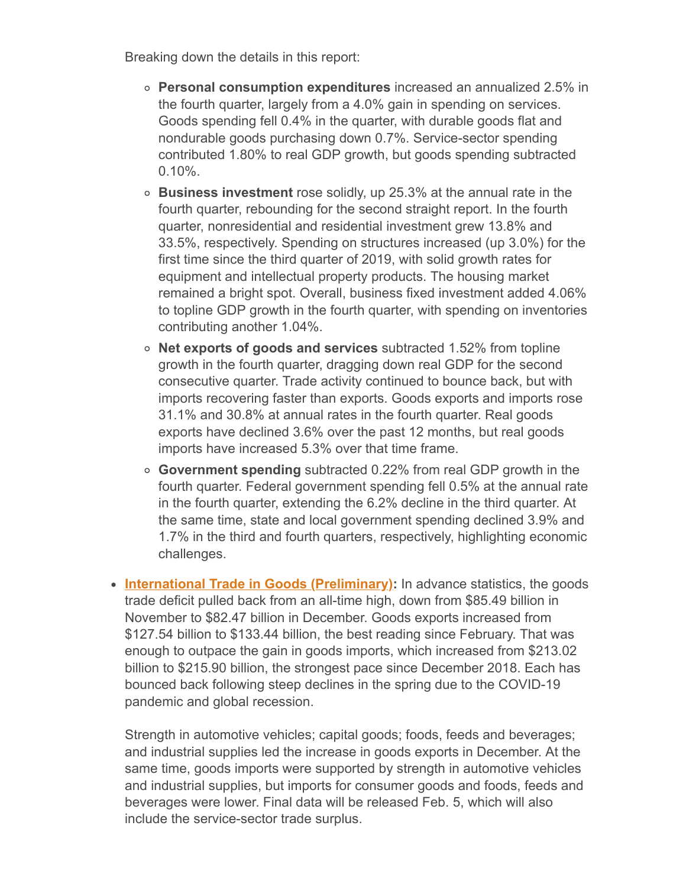Breaking down the details in this report:

- **Personal consumption expenditures** increased an annualized 2.5% in the fourth quarter, largely from a 4.0% gain in spending on services. Goods spending fell 0.4% in the quarter, with durable goods flat and nondurable goods purchasing down 0.7%. Service-sector spending contributed 1.80% to real GDP growth, but goods spending subtracted 0.10%.
- **Business investment** rose solidly, up 25.3% at the annual rate in the fourth quarter, rebounding for the second straight report. In the fourth quarter, nonresidential and residential investment grew 13.8% and 33.5%, respectively. Spending on structures increased (up 3.0%) for the first time since the third quarter of 2019, with solid growth rates for equipment and intellectual property products. The housing market remained a bright spot. Overall, business fixed investment added 4.06% to topline GDP growth in the fourth quarter, with spending on inventories contributing another 1.04%.
- **Net exports of goods and services** subtracted 1.52% from topline growth in the fourth quarter, dragging down real GDP for the second consecutive quarter. Trade activity continued to bounce back, but with imports recovering faster than exports. Goods exports and imports rose 31.1% and 30.8% at annual rates in the fourth quarter. Real goods exports have declined 3.6% over the past 12 months, but real goods imports have increased 5.3% over that time frame.
- **Government spending** subtracted 0.22% from real GDP growth in the fourth quarter. Federal government spending fell 0.5% at the annual rate in the fourth quarter, extending the 6.2% decline in the third quarter. At the same time, state and local government spending declined 3.9% and 1.7% in the third and fourth quarters, respectively, highlighting economic challenges.
- **[International Trade in Goods \(Preliminary\):](https://www.census.gov/econ/indicators/advance_report.pdf)** In advance statistics, the goods trade deficit pulled back from an all-time high, down from \$85.49 billion in November to \$82.47 billion in December. Goods exports increased from \$127.54 billion to \$133.44 billion, the best reading since February. That was enough to outpace the gain in goods imports, which increased from \$213.02 billion to \$215.90 billion, the strongest pace since December 2018. Each has bounced back following steep declines in the spring due to the COVID-19 pandemic and global recession.

Strength in automotive vehicles; capital goods; foods, feeds and beverages; and industrial supplies led the increase in goods exports in December. At the same time, goods imports were supported by strength in automotive vehicles and industrial supplies, but imports for consumer goods and foods, feeds and beverages were lower. Final data will be released Feb. 5, which will also include the service-sector trade surplus.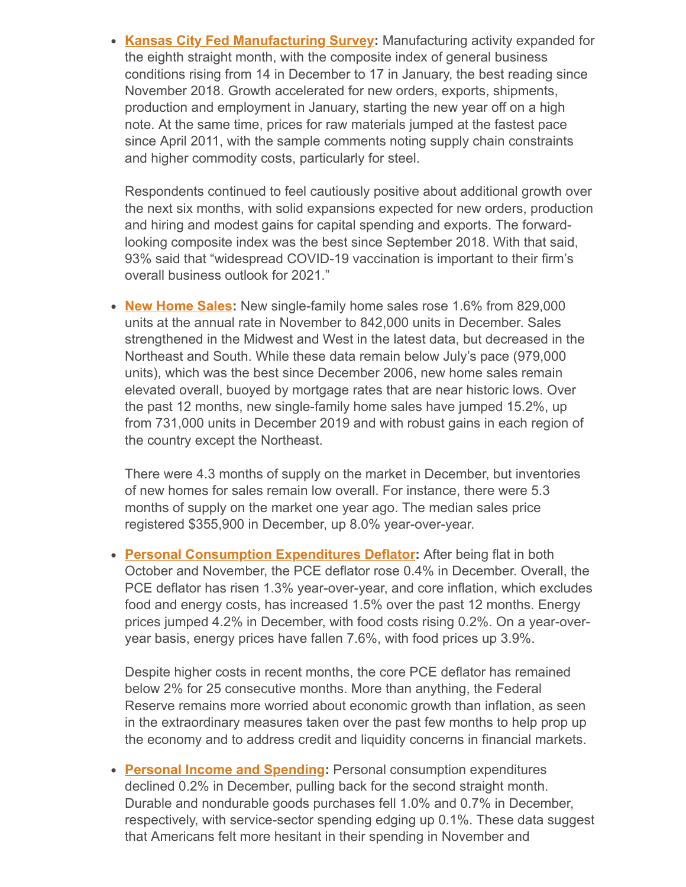**[Kansas City Fed Manufacturing Survey](https://www.kansascityfed.org/~/media/files/publicat/research/indicatorsdata/mfg/2021/kcfed_manufsurvey_2021jan28.pdf):** Manufacturing activity expanded for the eighth straight month, with the composite index of general business conditions rising from 14 in December to 17 in January, the best reading since November 2018. Growth accelerated for new orders, exports, shipments, production and employment in January, starting the new year off on a high note. At the same time, prices for raw materials jumped at the fastest pace since April 2011, with the sample comments noting supply chain constraints and higher commodity costs, particularly for steel.

Respondents continued to feel cautiously positive about additional growth over the next six months, with solid expansions expected for new orders, production and hiring and modest gains for capital spending and exports. The forwardlooking composite index was the best since September 2018. With that said, 93% said that "widespread COVID-19 vaccination is important to their firm's overall business outlook for 2021."

• **[New Home Sales:](https://www.census.gov/construction/nrs/pdf/newressales.pdf)** New single-family home sales rose 1.6% from 829,000 units at the annual rate in November to 842,000 units in December. Sales strengthened in the Midwest and West in the latest data, but decreased in the Northeast and South. While these data remain below July's pace (979,000 units), which was the best since December 2006, new home sales remain elevated overall, buoyed by mortgage rates that are near historic lows. Over the past 12 months, new single-family home sales have jumped 15.2%, up from 731,000 units in December 2019 and with robust gains in each region of the country except the Northeast.

There were 4.3 months of supply on the market in December, but inventories of new homes for sales remain low overall. For instance, there were 5.3 months of supply on the market one year ago. The median sales price registered \$355,900 in December, up 8.0% year-over-year.

**• [Personal Consumption Expenditures Deflator:](https://www.bea.gov/sites/default/files/2021-01/pi1220.pdf)** After being flat in both October and November, the PCE deflator rose 0.4% in December. Overall, the PCE deflator has risen 1.3% year-over-year, and core inflation, which excludes food and energy costs, has increased 1.5% over the past 12 months. Energy prices jumped 4.2% in December, with food costs rising 0.2%. On a year-overyear basis, energy prices have fallen 7.6%, with food prices up 3.9%.

Despite higher costs in recent months, the core PCE deflator has remained below 2% for 25 consecutive months. More than anything, the Federal Reserve remains more worried about economic growth than inflation, as seen in the extraordinary measures taken over the past few months to help prop up the economy and to address credit and liquidity concerns in financial markets.

**[Personal Income and Spending](https://www.bea.gov/sites/default/files/2021-01/pi1220.pdf):** Personal consumption expenditures declined 0.2% in December, pulling back for the second straight month. Durable and nondurable goods purchases fell 1.0% and 0.7% in December, respectively, with service-sector spending edging up 0.1%. These data suggest that Americans felt more hesitant in their spending in November and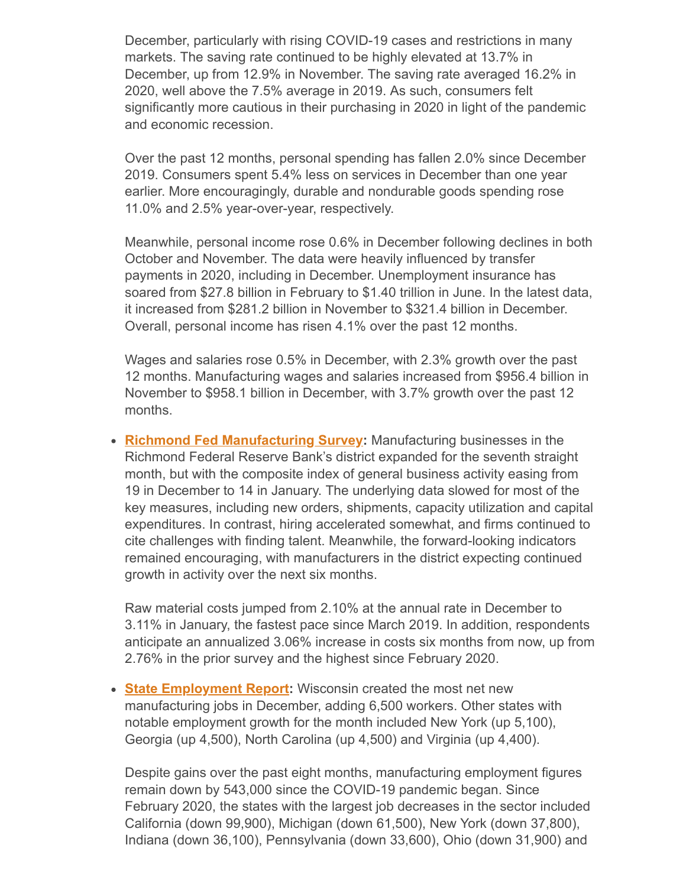December, particularly with rising COVID-19 cases and restrictions in many markets. The saving rate continued to be highly elevated at 13.7% in December, up from 12.9% in November. The saving rate averaged 16.2% in 2020, well above the 7.5% average in 2019. As such, consumers felt significantly more cautious in their purchasing in 2020 in light of the pandemic and economic recession.

Over the past 12 months, personal spending has fallen 2.0% since December 2019. Consumers spent 5.4% less on services in December than one year earlier. More encouragingly, durable and nondurable goods spending rose 11.0% and 2.5% year-over-year, respectively.

Meanwhile, personal income rose 0.6% in December following declines in both October and November. The data were heavily influenced by transfer payments in 2020, including in December. Unemployment insurance has soared from \$27.8 billion in February to \$1.40 trillion in June. In the latest data, it increased from \$281.2 billion in November to \$321.4 billion in December. Overall, personal income has risen 4.1% over the past 12 months.

Wages and salaries rose 0.5% in December, with 2.3% growth over the past 12 months. Manufacturing wages and salaries increased from \$956.4 billion in November to \$958.1 billion in December, with 3.7% growth over the past 12 months.

**[Richmond Fed Manufacturing Survey:](https://www.richmondfed.org/-/media/richmondfedorg/research/regional_economy/surveys_of_business_conditions/manufacturing/2021/pdf/mfg_01_26_21.pdf)** Manufacturing businesses in the Richmond Federal Reserve Bank's district expanded for the seventh straight month, but with the composite index of general business activity easing from 19 in December to 14 in January. The underlying data slowed for most of the key measures, including new orders, shipments, capacity utilization and capital expenditures. In contrast, hiring accelerated somewhat, and firms continued to cite challenges with finding talent. Meanwhile, the forward-looking indicators remained encouraging, with manufacturers in the district expecting continued growth in activity over the next six months.

Raw material costs jumped from 2.10% at the annual rate in December to 3.11% in January, the fastest pace since March 2019. In addition, respondents anticipate an annualized 3.06% increase in costs six months from now, up from 2.76% in the prior survey and the highest since February 2020.

**[State Employment Report](https://www.bls.gov/news.release/pdf/laus.pdf):** Wisconsin created the most net new manufacturing jobs in December, adding 6,500 workers. Other states with notable employment growth for the month included New York (up 5,100), Georgia (up 4,500), North Carolina (up 4,500) and Virginia (up 4,400).

Despite gains over the past eight months, manufacturing employment figures remain down by 543,000 since the COVID-19 pandemic began. Since February 2020, the states with the largest job decreases in the sector included California (down 99,900), Michigan (down 61,500), New York (down 37,800), Indiana (down 36,100), Pennsylvania (down 33,600), Ohio (down 31,900) and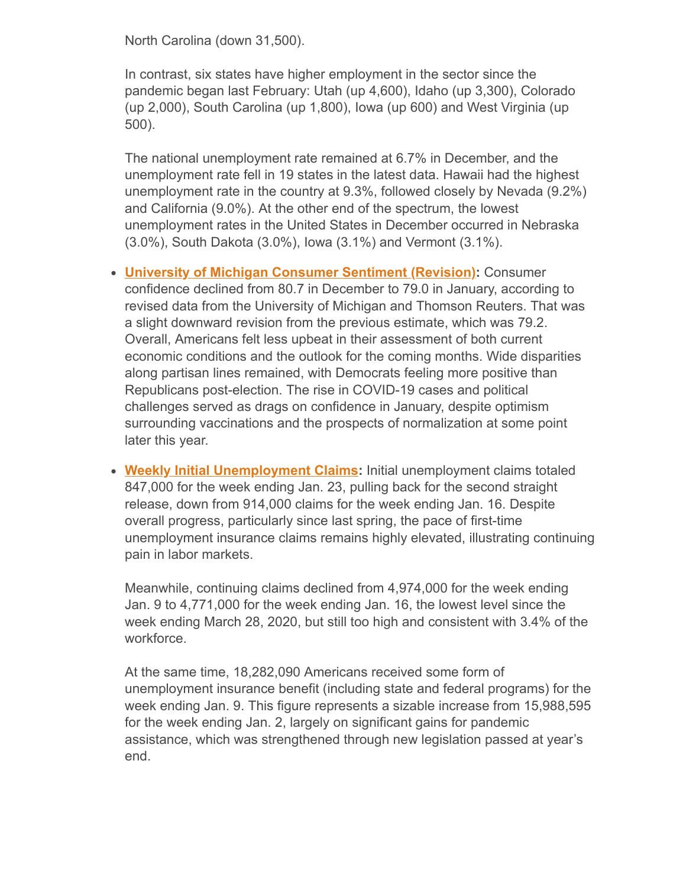North Carolina (down 31,500).

In contrast, six states have higher employment in the sector since the pandemic began last February: Utah (up 4,600), Idaho (up 3,300), Colorado (up 2,000), South Carolina (up 1,800), Iowa (up 600) and West Virginia (up 500).

The national unemployment rate remained at 6.7% in December, and the unemployment rate fell in 19 states in the latest data. Hawaii had the highest unemployment rate in the country at 9.3%, followed closely by Nevada (9.2%) and California (9.0%). At the other end of the spectrum, the lowest unemployment rates in the United States in December occurred in Nebraska (3.0%), South Dakota (3.0%), Iowa (3.1%) and Vermont (3.1%).

- **[University of Michigan Consumer Sentiment \(Revision\):](http://www.sca.isr.umich.edu/)** Consumer confidence declined from 80.7 in December to 79.0 in January, according to revised data from the University of Michigan and Thomson Reuters. That was a slight downward revision from the previous estimate, which was 79.2. Overall, Americans felt less upbeat in their assessment of both current economic conditions and the outlook for the coming months. Wide disparities along partisan lines remained, with Democrats feeling more positive than Republicans post-election. The rise in COVID-19 cases and political challenges served as drags on confidence in January, despite optimism surrounding vaccinations and the prospects of normalization at some point later this year.
- **[Weekly Initial Unemployment Claims](https://www.dol.gov/ui/data.pdf):** Initial unemployment claims totaled 847,000 for the week ending Jan. 23, pulling back for the second straight release, down from 914,000 claims for the week ending Jan. 16. Despite overall progress, particularly since last spring, the pace of first-time unemployment insurance claims remains highly elevated, illustrating continuing pain in labor markets.

Meanwhile, continuing claims declined from 4,974,000 for the week ending Jan. 9 to 4,771,000 for the week ending Jan. 16, the lowest level since the week ending March 28, 2020, but still too high and consistent with 3.4% of the workforce.

At the same time, 18,282,090 Americans received some form of unemployment insurance benefit (including state and federal programs) for the week ending Jan. 9. This figure represents a sizable increase from 15,988,595 for the week ending Jan. 2, largely on significant gains for pandemic assistance, which was strengthened through new legislation passed at year's end.